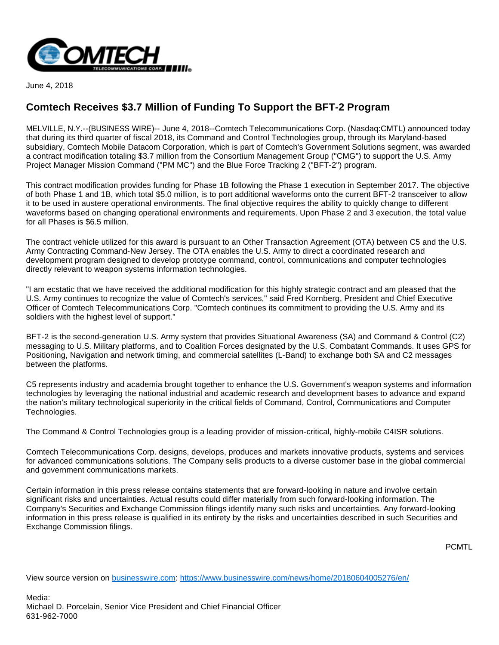

June 4, 2018

## **Comtech Receives \$3.7 Million of Funding To Support the BFT-2 Program**

MELVILLE, N.Y.--(BUSINESS WIRE)-- June 4, 2018--Comtech Telecommunications Corp. (Nasdaq:CMTL) announced today that during its third quarter of fiscal 2018, its Command and Control Technologies group, through its Maryland-based subsidiary, Comtech Mobile Datacom Corporation, which is part of Comtech's Government Solutions segment, was awarded a contract modification totaling \$3.7 million from the Consortium Management Group ("CMG") to support the U.S. Army Project Manager Mission Command ("PM MC") and the Blue Force Tracking 2 ("BFT-2") program.

This contract modification provides funding for Phase 1B following the Phase 1 execution in September 2017. The objective of both Phase 1 and 1B, which total \$5.0 million, is to port additional waveforms onto the current BFT-2 transceiver to allow it to be used in austere operational environments. The final objective requires the ability to quickly change to different waveforms based on changing operational environments and requirements. Upon Phase 2 and 3 execution, the total value for all Phases is \$6.5 million.

The contract vehicle utilized for this award is pursuant to an Other Transaction Agreement (OTA) between C5 and the U.S. Army Contracting Command-New Jersey. The OTA enables the U.S. Army to direct a coordinated research and development program designed to develop prototype command, control, communications and computer technologies directly relevant to weapon systems information technologies.

"I am ecstatic that we have received the additional modification for this highly strategic contract and am pleased that the U.S. Army continues to recognize the value of Comtech's services," said Fred Kornberg, President and Chief Executive Officer of Comtech Telecommunications Corp. "Comtech continues its commitment to providing the U.S. Army and its soldiers with the highest level of support."

BFT-2 is the second-generation U.S. Army system that provides Situational Awareness (SA) and Command & Control (C2) messaging to U.S. Military platforms, and to Coalition Forces designated by the U.S. Combatant Commands. It uses GPS for Positioning, Navigation and network timing, and commercial satellites (L-Band) to exchange both SA and C2 messages between the platforms.

C5 represents industry and academia brought together to enhance the U.S. Government's weapon systems and information technologies by leveraging the national industrial and academic research and development bases to advance and expand the nation's military technological superiority in the critical fields of Command, Control, Communications and Computer Technologies.

The Command & Control Technologies group is a leading provider of mission-critical, highly-mobile C4ISR solutions.

Comtech Telecommunications Corp. designs, develops, produces and markets innovative products, systems and services for advanced communications solutions. The Company sells products to a diverse customer base in the global commercial and government communications markets.

Certain information in this press release contains statements that are forward-looking in nature and involve certain significant risks and uncertainties. Actual results could differ materially from such forward-looking information. The Company's Securities and Exchange Commission filings identify many such risks and uncertainties. Any forward-looking information in this press release is qualified in its entirety by the risks and uncertainties described in such Securities and Exchange Commission filings.

PCMTL

View source version on [businesswire.com](http://businesswire.com/): <https://www.businesswire.com/news/home/20180604005276/en/>